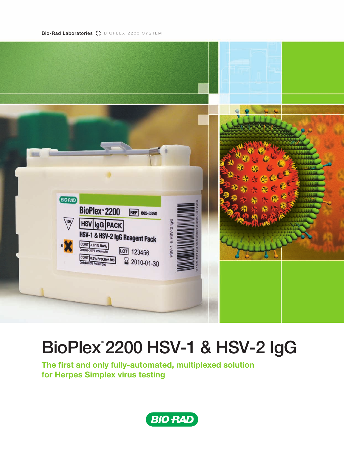Bio-Rad Laboratories () BIOPLEX 2200 SYSTEM



## BioPlex<sup>™</sup> 2200 HSV-1 & HSV-2 IgG

**The first and only fully-automated, multiplexed solution for Herpes Simplex virus testing**

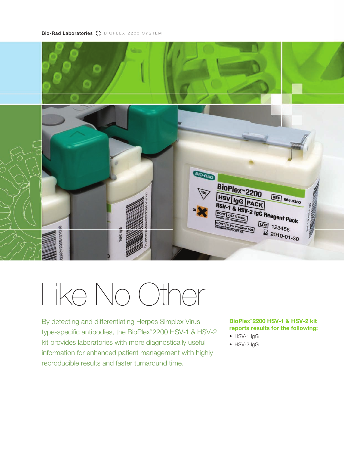

# Like No Other

By detecting and differentiating Herpes Simplex Virus type-specific antibodies, the BioPlex<sup>™</sup> 2200 HSV-1 & HSV-2 kit provides laboratories with more diagnostically useful information for enhanced patient management with highly reproducible results and faster turnaround time.

#### **BioPlex™ 2200 HSV-1 & HSV-2 kit reports results for the following:**

- HSV-1 IgG
- HSV-2 lgG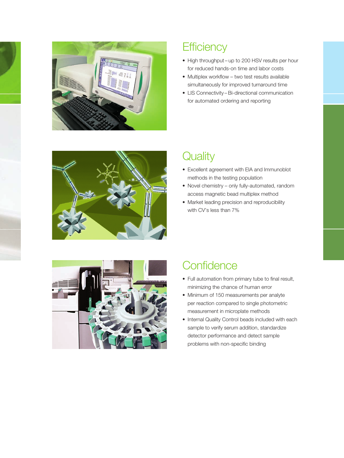

## **Efficiency**

- High throughput up to 200 HSV results per hour for reduced hands-on time and labor costs
- Multiplex workflow two test results available simultaneously for improved turnaround time
- LIS Connectivity Bi-directional communication for automated ordering and reporting



## **Quality**

- Excellent agreement with EIA and Immunoblot methods in the testing population
- Novel chemistry only fully-automated, random access magnetic bead multiplex method
- Market leading precision and reproducibility with CV's less than 7%



## **Confidence**

- Full automation from primary tube to final result, minimizing the chance of human error
- Minimum of 150 measurements per analyte per reaction compared to single photometric measurement in microplate methods
- Internal Quality Control beads included with each sample to verify serum addition, standardize detector performance and detect sample problems with non-specific binding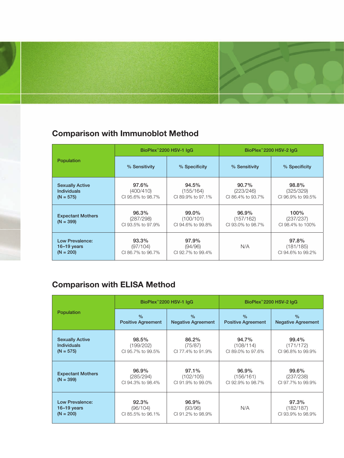## **Comparison with Immunoblot Method**

|                                                             |                                         | BioPlex <sup>"</sup> 2200 HSV-1 IqG     | BioPlex <sup>"</sup> 2200 HSV-2 IgG     |                                         |  |
|-------------------------------------------------------------|-----------------------------------------|-----------------------------------------|-----------------------------------------|-----------------------------------------|--|
| Population                                                  | % Sensitivity                           | % Specificity                           | % Sensitivity                           | % Specificity                           |  |
| <b>Sexually Active</b><br><b>Individuals</b><br>$(N = 575)$ | 97.6%<br>(400/410)<br>CI 95.6% to 98.7% | 94.5%<br>(155/164)<br>CI 89.9% to 97.1% | 90.7%<br>(223/246)<br>CI 86.4% to 93.7% | 98.8%<br>(325/329)<br>CI 96.9% to 99.5% |  |
| <b>Expectant Mothers</b><br>$(N = 399)$                     | 96.3%<br>(287/298)<br>CI 93.5% to 97.9% | 99.0%<br>(100/101)<br>CI 94.6% to 99.8% | 96.9%<br>(157/162)<br>CI 93.0% to 98.7% | 100%<br>(237/237)<br>CI 98.4% to 100%   |  |
| Low Prevalence:<br>$16-19$ years<br>$(N = 200)$             | 93.3%<br>(97/104)<br>CI 86.7% to 96.7%  | 97.9%<br>(94/96)<br>CI 92.7% to 99.4%   | N/A                                     | 97.8%<br>(181/185)<br>CI 94.6% to 99.2% |  |

## **Comparison with ELISA Method**

|                                         |                                         | BioPlex <sup>™</sup> 2200 HSV-1 IgG     | BioPlex <sup>™</sup> 2200 HSV-2 IgG     |                                         |  |
|-----------------------------------------|-----------------------------------------|-----------------------------------------|-----------------------------------------|-----------------------------------------|--|
| Population                              | $\frac{0}{0}$                           | $\frac{0}{0}$                           | $\%$                                    | $\frac{0}{0}$                           |  |
|                                         | <b>Positive Agreement</b>               | <b>Negative Agreement</b>               | <b>Positive Agreement</b>               | <b>Negative Agreement</b>               |  |
| <b>Sexually Active</b>                  | 98.5%                                   | 86.2%                                   | 94.7%                                   | 99.4%                                   |  |
| <b>Individuals</b>                      | (199/202)                               | (75/87)                                 | (108/114)                               | (171/172)                               |  |
| $(N = 575)$                             | CI 95.7% to 99.5%                       | CI 77.4% to 91.9%                       | CI 89.0% to 97.6%                       | CI 96.8% to 99.9%                       |  |
| <b>Expectant Mothers</b><br>$(N = 399)$ | 96.9%<br>(285/294)<br>CI 94.3% to 98.4% | 97.1%<br>(102/105)<br>CI 91.9% to 99.0% | 96.9%<br>(156/161)<br>CI 92.9% to 98.7% | 99.6%<br>(237/238)<br>CI 97.7% to 99.9% |  |
| Low Prevalence:                         | 92.3%                                   | 96.9%                                   | N/A                                     | 97.3%                                   |  |
| $16-19$ years                           | (96/104)                                | (93/96)                                 |                                         | (182/187)                               |  |
| $(N = 200)$                             | CI 85.5% to 96.1%                       | CI 91.2% to 98.9%                       |                                         | CI 93.9% to 98.9%                       |  |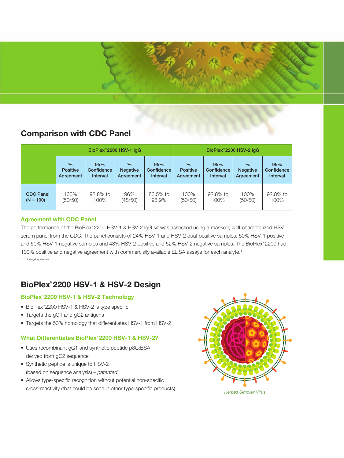### **Comparison with CDC Panel**

|                  | BioPlex <sup>™</sup> 2200 HSV-1 IqG |                 |                 |            | BioPlex <sup>"</sup> 2200 HSV-2 IqG |                 |                 |            |
|------------------|-------------------------------------|-----------------|-----------------|------------|-------------------------------------|-----------------|-----------------|------------|
|                  | $\frac{0}{0}$                       | 95%             | $\frac{0}{0}$   | 95%        | $\frac{0}{2}$                       | 95%             | $\frac{0}{0}$   | 95%        |
|                  | <b>Positive</b>                     | Confidence      | <b>Negative</b> | Confidence | <b>Positive</b>                     | Confidence      | <b>Negative</b> | Confidence |
|                  | Agreement                           | <b>Interval</b> | Agreement       | Interval   | Agreement                           | <b>Interval</b> | Agreement       | Interval   |
| <b>CDC Panel</b> | 100%                                | 92.8% to        | 96%             | 86.5% to   | 100%                                | 92.8% to        | 100%            | 92.8% to   |
| $(N = 100)$      | (50/50)                             | 100%            | (48/50)         | 98.9%      | (50/50)                             | 100%            | (50/50)         | 100%       |

#### **Agreement with CDC Panel**

The performance of the BioPlex™ 2200 HSV-1 & HSV-2 IgG kit was assessed using a masked, well-characterized HSV serum panel from the CDC. The panel consists of 24% HSV-1 and HSV-2 dual-positive samples, 50% HSV-1 positive and 50% HSV-1 negative samples and 48% HSV-2 positive and 52% HSV-2 negative samples. The BioPlex™ 2200 had 100% positive and negative agreement with commercially available ELISA assays for each analyte. 1 <sup>1</sup> Excluding Equivocals

## **BioPlex™ 2200 HSV-1 & HSV-2 Design**

#### **BioPlex™ 2200 HSV-1 & HSV-2 Technology**

- • BioPlex™ 2200 HSV-1 & HSV-2 is type specific
- Targets the gG1 and gG2 antigens
- Targets the 50% homology that differentiates HSV-1 from HSV-2

#### **What Differentiates BioPlex™ 2200 HSV-1 & HSV-2?**

- Uses recombinant gG1 and synthetic peptide p8C:BSA derived from gG2 sequence
- • Synthetic peptide is unique to HSV-2 (based on sequence analysis) – *patented*
- Allows type-specific recognition without potential non-specific cross-reactivity (that could be seen in other type-specific products)